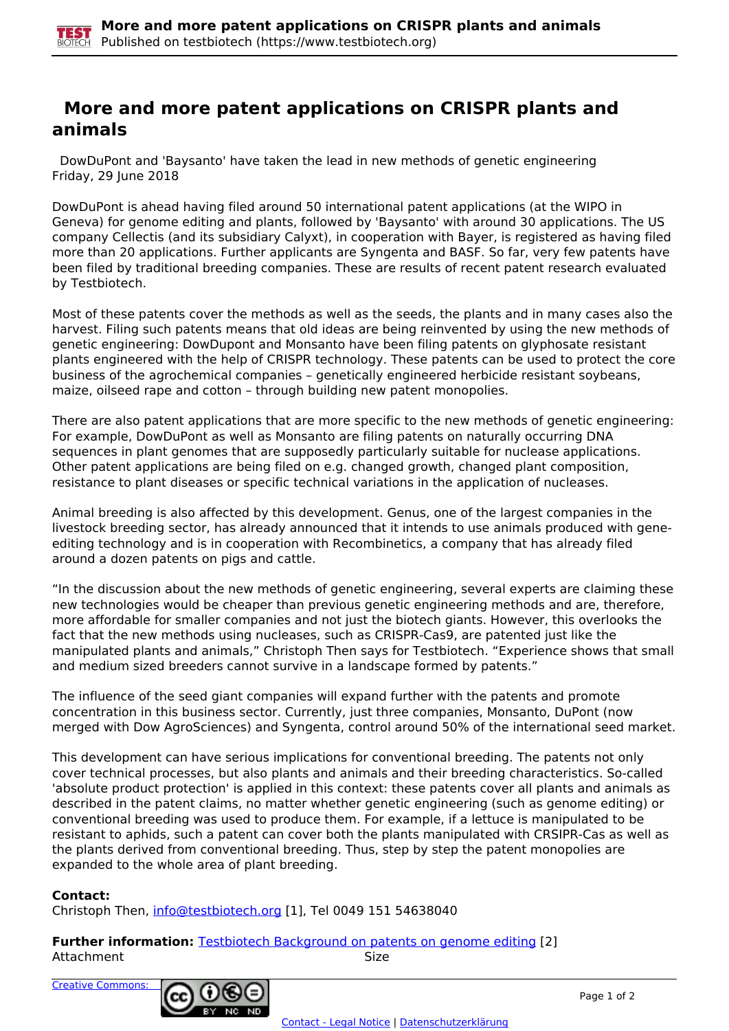## **More and more patent applications on CRISPR plants and animals**

 DowDuPont and 'Baysanto' have taken the lead in new methods of genetic engineering Friday, 29 June 2018

DowDuPont is ahead having filed around 50 international patent applications (at the WIPO in Geneva) for genome editing and plants, followed by 'Baysanto' with around 30 applications. The US company Cellectis (and its subsidiary Calyxt), in cooperation with Bayer, is registered as having filed more than 20 applications. Further applicants are Syngenta and BASF. So far, very few patents have been filed by traditional breeding companies. These are results of recent patent research evaluated by Testbiotech.

Most of these patents cover the methods as well as the seeds, the plants and in many cases also the harvest. Filing such patents means that old ideas are being reinvented by using the new methods of genetic engineering: DowDupont and Monsanto have been filing patents on glyphosate resistant plants engineered with the help of CRISPR technology. These patents can be used to protect the core business of the agrochemical companies – genetically engineered herbicide resistant soybeans, maize, oilseed rape and cotton – through building new patent monopolies.

There are also patent applications that are more specific to the new methods of genetic engineering: For example, DowDuPont as well as Monsanto are filing patents on naturally occurring DNA sequences in plant genomes that are supposedly particularly suitable for nuclease applications. Other patent applications are being filed on e.g. changed growth, changed plant composition, resistance to plant diseases or specific technical variations in the application of nucleases.

Animal breeding is also affected by this development. Genus, one of the largest companies in the livestock breeding sector, has already announced that it intends to use animals produced with geneediting technology and is in cooperation with Recombinetics, a company that has already filed around a dozen patents on pigs and cattle.

"In the discussion about the new methods of genetic engineering, several experts are claiming these new technologies would be cheaper than previous genetic engineering methods and are, therefore, more affordable for smaller companies and not just the biotech giants. However, this overlooks the fact that the new methods using nucleases, such as CRISPR-Cas9, are patented just like the manipulated plants and animals," Christoph Then says for Testbiotech. "Experience shows that small and medium sized breeders cannot survive in a landscape formed by patents."

The influence of the seed giant companies will expand further with the patents and promote concentration in this business sector. Currently, just three companies, Monsanto, DuPont (now merged with Dow AgroSciences) and Syngenta, control around 50% of the international seed market.

This development can have serious implications for conventional breeding. The patents not only cover technical processes, but also plants and animals and their breeding characteristics. So-called 'absolute product protection' is applied in this context: these patents cover all plants and animals as described in the patent claims, no matter whether genetic engineering (such as genome editing) or conventional breeding was used to produce them. For example, if a lettuce is manipulated to be resistant to aphids, such a patent can cover both the plants manipulated with CRSIPR-Cas as well as the plants derived from conventional breeding. Thus, step by step the patent monopolies are expanded to the whole area of plant breeding.

## **Contact:**

Christoph Then, [info@testbiotech.org](mailto:info@testbiotech.org) [1], Tel 0049 151 54638040

**Further information:** Testbiotech Background on patents on genome editing [2] Attachment Size